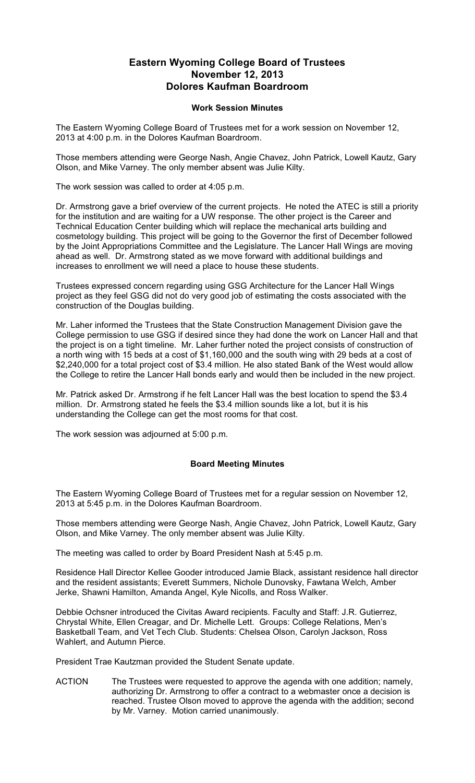## **Eastern Wyoming College Board of Trustees November 12, 2013 Dolores Kaufman Boardroom**

## **Work Session Minutes**

The Eastern Wyoming College Board of Trustees met for a work session on November 12, 2013 at 4:00 p.m. in the Dolores Kaufman Boardroom.

Those members attending were George Nash, Angie Chavez, John Patrick, Lowell Kautz, Gary Olson, and Mike Varney. The only member absent was Julie Kilty.

The work session was called to order at 4:05 p.m.

Dr. Armstrong gave a brief overview of the current projects. He noted the ATEC is still a priority for the institution and are waiting for a UW response. The other project is the Career and Technical Education Center building which will replace the mechanical arts building and cosmetology building. This project will be going to the Governor the first of December followed by the Joint Appropriations Committee and the Legislature. The Lancer Hall Wings are moving ahead as well. Dr. Armstrong stated as we move forward with additional buildings and increases to enrollment we will need a place to house these students.

Trustees expressed concern regarding using GSG Architecture for the Lancer Hall Wings project as they feel GSG did not do very good job of estimating the costs associated with the construction of the Douglas building.

Mr. Laher informed the Trustees that the State Construction Management Division gave the College permission to use GSG if desired since they had done the work on Lancer Hall and that the project is on a tight timeline. Mr. Laher further noted the project consists of construction of a north wing with 15 beds at a cost of \$1,160,000 and the south wing with 29 beds at a cost of \$2,240,000 for a total project cost of \$3.4 million. He also stated Bank of the West would allow the College to retire the Lancer Hall bonds early and would then be included in the new project.

Mr. Patrick asked Dr. Armstrong if he felt Lancer Hall was the best location to spend the \$3.4 million. Dr. Armstrong stated he feels the \$3.4 million sounds like a lot, but it is his understanding the College can get the most rooms for that cost.

The work session was adjourned at 5:00 p.m.

## **Board Meeting Minutes**

The Eastern Wyoming College Board of Trustees met for a regular session on November 12, 2013 at 5:45 p.m. in the Dolores Kaufman Boardroom.

Those members attending were George Nash, Angie Chavez, John Patrick, Lowell Kautz, Gary Olson, and Mike Varney. The only member absent was Julie Kilty.

The meeting was called to order by Board President Nash at 5:45 p.m.

Residence Hall Director Kellee Gooder introduced Jamie Black, assistant residence hall director and the resident assistants; Everett Summers, Nichole Dunovsky, Fawtana Welch, Amber Jerke, Shawni Hamilton, Amanda Angel, Kyle Nicolls, and Ross Walker.

Debbie Ochsner introduced the Civitas Award recipients. Faculty and Staff: J.R. Gutierrez, Chrystal White, Ellen Creagar, and Dr. Michelle Lett. Groups: College Relations, Men's Basketball Team, and Vet Tech Club. Students: Chelsea Olson, Carolyn Jackson, Ross Wahlert, and Autumn Pierce.

President Trae Kautzman provided the Student Senate update.

ACTION The Trustees were requested to approve the agenda with one addition; namely, authorizing Dr. Armstrong to offer a contract to a webmaster once a decision is reached. Trustee Olson moved to approve the agenda with the addition; second by Mr. Varney. Motion carried unanimously.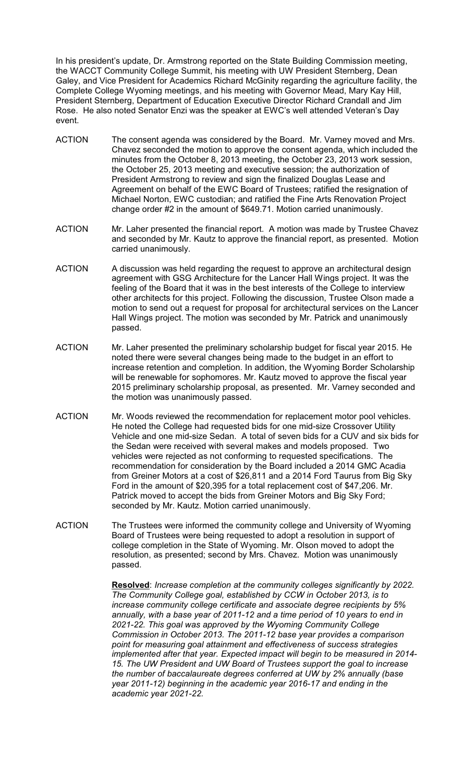In his president's update, Dr. Armstrong reported on the State Building Commission meeting, the WACCT Community College Summit, his meeting with UW President Sternberg, Dean Galey, and Vice President for Academics Richard McGinity regarding the agriculture facility, the Complete College Wyoming meetings, and his meeting with Governor Mead, Mary Kay Hill, President Sternberg, Department of Education Executive Director Richard Crandall and Jim Rose. He also noted Senator Enzi was the speaker at EWC's well attended Veteran's Day event.

- ACTION The consent agenda was considered by the Board. Mr. Varney moved and Mrs. Chavez seconded the motion to approve the consent agenda, which included the minutes from the October 8, 2013 meeting, the October 23, 2013 work session, the October 25, 2013 meeting and executive session; the authorization of President Armstrong to review and sign the finalized Douglas Lease and Agreement on behalf of the EWC Board of Trustees; ratified the resignation of Michael Norton, EWC custodian; and ratified the Fine Arts Renovation Project change order #2 in the amount of \$649.71. Motion carried unanimously.
- ACTION Mr. Laher presented the financial report. A motion was made by Trustee Chavez and seconded by Mr. Kautz to approve the financial report, as presented. Motion carried unanimously.
- ACTION A discussion was held regarding the request to approve an architectural design agreement with GSG Architecture for the Lancer Hall Wings project. It was the feeling of the Board that it was in the best interests of the College to interview other architects for this project. Following the discussion, Trustee Olson made a motion to send out a request for proposal for architectural services on the Lancer Hall Wings project. The motion was seconded by Mr. Patrick and unanimously passed.
- ACTION Mr. Laher presented the preliminary scholarship budget for fiscal year 2015. He noted there were several changes being made to the budget in an effort to increase retention and completion. In addition, the Wyoming Border Scholarship will be renewable for sophomores. Mr. Kautz moved to approve the fiscal year 2015 preliminary scholarship proposal, as presented. Mr. Varney seconded and the motion was unanimously passed.
- ACTION Mr. Woods reviewed the recommendation for replacement motor pool vehicles. He noted the College had requested bids for one mid-size Crossover Utility Vehicle and one mid-size Sedan. A total of seven bids for a CUV and six bids for the Sedan were received with several makes and models proposed. Two vehicles were rejected as not conforming to requested specifications. The recommendation for consideration by the Board included a 2014 GMC Acadia from Greiner Motors at a cost of \$26,811 and a 2014 Ford Taurus from Big Sky Ford in the amount of \$20,395 for a total replacement cost of \$47,206. Mr. Patrick moved to accept the bids from Greiner Motors and Big Sky Ford; seconded by Mr. Kautz. Motion carried unanimously.
- ACTION The Trustees were informed the community college and University of Wyoming Board of Trustees were being requested to adopt a resolution in support of college completion in the State of Wyoming. Mr. Olson moved to adopt the resolution, as presented; second by Mrs. Chavez. Motion was unanimously passed.

**Resolved**: *Increase completion at the community colleges significantly by 2022. The Community College goal, established by CCW in October 2013, is to increase community college certificate and associate degree recipients by 5% annually, with a base year of 2011-12 and a time period of 10 years to end in 2021-22. This goal was approved by the Wyoming Community College Commission in October 2013. The 2011-12 base year provides a comparison point for measuring goal attainment and effectiveness of success strategies implemented after that year. Expected impact will begin to be measured in 2014- 15. The UW President and UW Board of Trustees support the goal to increase the number of baccalaureate degrees conferred at UW by 2% annually (base year 2011-12) beginning in the academic year 2016-17 and ending in the academic year 2021-22.*